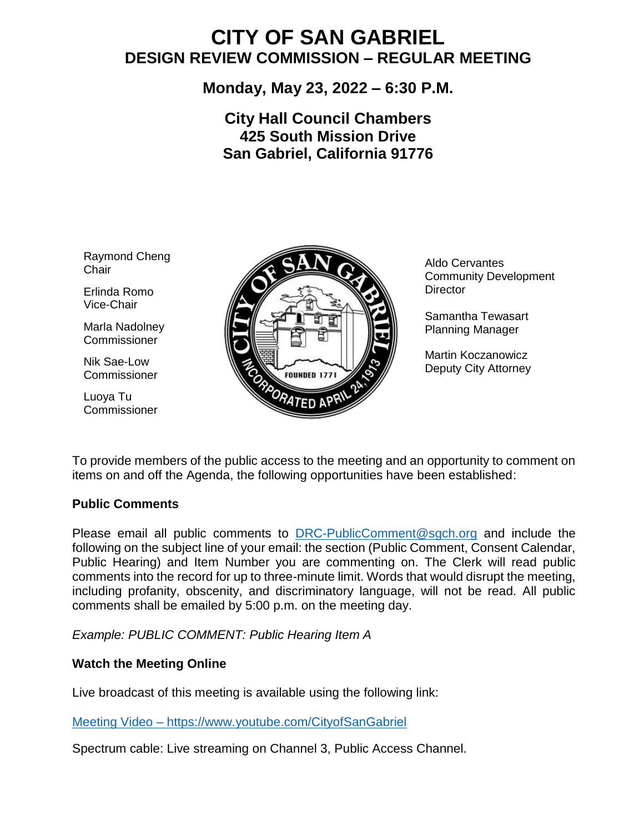# **CITY OF SAN GABRIEL DESIGN REVIEW COMMISSION – REGULAR MEETING**

# **Monday, May 23, 2022 – 6:30 P.M.**

# **City Hall Council Chambers 425 South Mission Drive San Gabriel, California 91776**

Raymond Cheng **Chair** 

Erlinda Romo Vice-Chair

Marla Nadolney **Commissioner** 

Nik Sae-Low Commissioner

Luoya Tu **Commissioner** 



Aldo Cervantes Community Development **Director** 

Samantha Tewasart Planning Manager

Martin Koczanowicz Deputy City Attorney

 To provide members of the public access to the meeting and an opportunity to comment on items on and off the Agenda, the following opportunities have been established:

#### **Public Comments**

Please email all public comments to [DRC-PublicComment@sgch.org](mailto:DRC-PublicComment@sgch.org) and include the following on the subject line of your email: the section (Public Comment, Consent Calendar, Public Hearing) and Item Number you are commenting on. The Clerk will read public comments into the record for up to three-minute limit. Words that would disrupt the meeting, including profanity, obscenity, and discriminatory language, will not be read. All public comments shall be emailed by 5:00 p.m. on the meeting day.

*Example: PUBLIC COMMENT: Public Hearing Item A*

# **Watch the Meeting Online**

Live broadcast of this meeting is available using the following link:

[Meeting Video](https://www.youtube.com/cityofsangabriel) – https://www.youtube.com/CityofSanGabriel

Spectrum cable: Live streaming on Channel 3, Public Access Channel.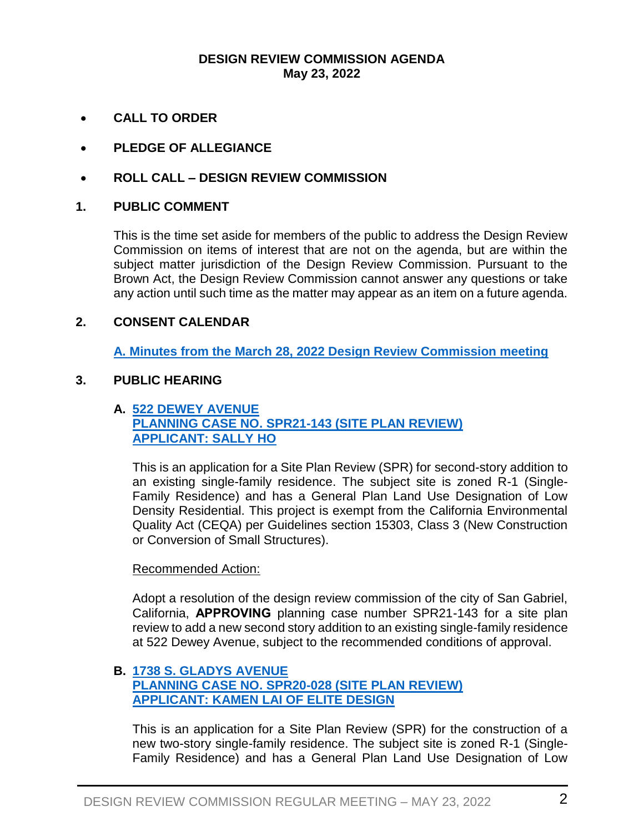#### **DESIGN REVIEW COMMISSION AGENDA May 23, 2022**

- **CALL TO ORDER**
- **PLEDGE OF ALLEGIANCE**
- **ROLL CALL – DESIGN REVIEW COMMISSION**

#### **1. PUBLIC COMMENT**

This is the time set aside for members of the public to address the Design Review Commission on items of interest that are not on the agenda, but are within the subject matter jurisdiction of the Design Review Commission. Pursuant to the Brown Act, the Design Review Commission cannot answer any questions or take any action until such time as the matter may appear as an item on a future agenda.

#### **2. CONSENT CALENDAR**

**A. Minutes from the March 28, 2022 [Design Review Commission meeting](https://www.sangabrielcity.com/DocumentCenter/View/16598/32822-Minutes--DRAFT)**

# **3. PUBLIC HEARING**

# **A. [522 DEWEY AVENUE](https://www.sangabrielcity.com/DocumentCenter/View/16599/522-Dewey-Packet) [PLANNING CASE NO. SPR21-143 \(SITE PLAN REVIEW\)](https://www.sangabrielcity.com/DocumentCenter/View/16599/522-Dewey-Packet) [APPLICANT: SALLY](https://www.sangabrielcity.com/DocumentCenter/View/16599/522-Dewey-Packet) HO**

This is an application for a Site Plan Review (SPR) for second-story addition to an existing single-family residence. The subject site is zoned R-1 (Single-Family Residence) and has a General Plan Land Use Designation of Low Density Residential. This project is exempt from the California Environmental Quality Act (CEQA) per Guidelines section 15303, Class 3 (New Construction or Conversion of Small Structures).

#### Recommended Action:

Adopt a resolution of the design review commission of the city of San Gabriel, California, **APPROVING** planning case number SPR21-143 for a site plan review to add a new second story addition to an existing single-family residence at 522 Dewey Avenue, subject to the recommended conditions of approval.

## **B. [1738 S. GLADYS](https://www.sangabrielcity.com/DocumentCenter/View/16601/1738-S-Gladys-Ave-Packet) AVENUE [PLANNING CASE NO. SPR20-028](https://www.sangabrielcity.com/DocumentCenter/View/16601/1738-S-Gladys-Ave-Packet) (SITE PLAN REVIEW) [APPLICANT: KAMEN LAI OF ELITE DESIGN](https://www.sangabrielcity.com/DocumentCenter/View/16601/1738-S-Gladys-Ave-Packet)**

This is an application for a Site Plan Review (SPR) for the construction of a new two-story single-family residence. The subject site is zoned R-1 (Single-Family Residence) and has a General Plan Land Use Designation of Low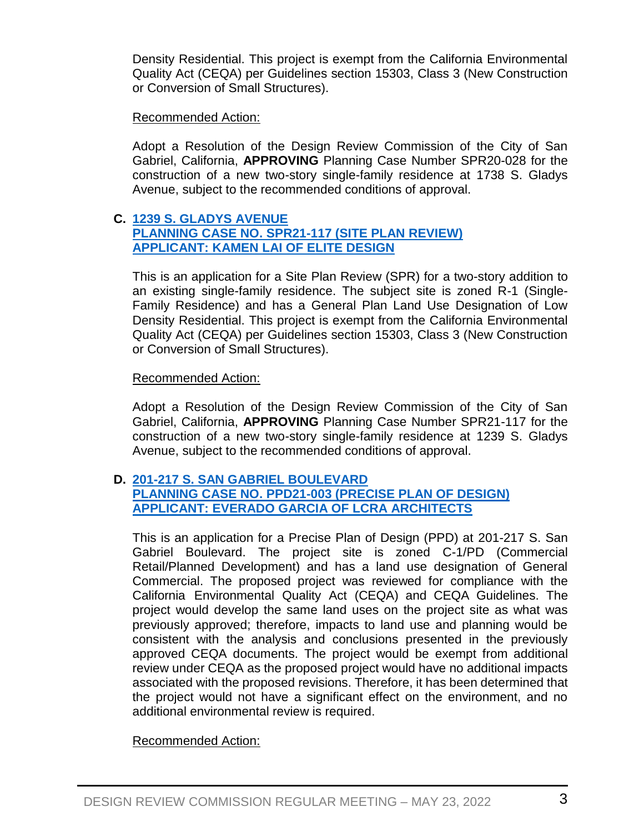Density Residential. This project is exempt from the California Environmental Quality Act (CEQA) per Guidelines section 15303, Class 3 (New Construction or Conversion of Small Structures).

# Recommended Action:

Adopt a Resolution of the Design Review Commission of the City of San Gabriel, California, **APPROVING** Planning Case Number SPR20-028 for the construction of a new two-story single-family residence at 1738 S. Gladys Avenue, subject to the recommended conditions of approval.

# **C. 1239 [S. GLADYS AVENUE](https://www.sangabrielcity.com/DocumentCenter/View/16600/1239-S-Gladys-Packet) [PLANNING CASE NO. SPR21-117](https://www.sangabrielcity.com/DocumentCenter/View/16600/1239-S-Gladys-Packet) (SITE PLAN REVIEW) [APPLICANT: KAMEN LAI OF ELITE DESIGN](https://www.sangabrielcity.com/DocumentCenter/View/16600/1239-S-Gladys-Packet)**

This is an application for a Site Plan Review (SPR) for a two-story addition to an existing single-family residence. The subject site is zoned R-1 (Single-Family Residence) and has a General Plan Land Use Designation of Low Density Residential. This project is exempt from the California Environmental Quality Act (CEQA) per Guidelines section 15303, Class 3 (New Construction or Conversion of Small Structures).

# Recommended Action:

Adopt a Resolution of the Design Review Commission of the City of San Gabriel, California, **APPROVING** Planning Case Number SPR21-117 for the construction of a new two-story single-family residence at 1239 S. Gladys Avenue, subject to the recommended conditions of approval.

## **D. [201-217 S. SAN GABRIEL BOULEVARD](https://www.sangabrielcity.com/DocumentCenter/View/16602/Rubio-Full-Packet) [PLANNING CASE NO. PPD21-003](https://www.sangabrielcity.com/DocumentCenter/View/16602/Rubio-Full-Packet) (PRECISE PLAN OF DESIGN) [APPLICANT: EVERADO GARCIA OF LCRA ARCHITECTS](https://www.sangabrielcity.com/DocumentCenter/View/16602/Rubio-Full-Packet)**

This is an application for a Precise Plan of Design (PPD) at 201-217 S. San Gabriel Boulevard. The project site is zoned C-1/PD (Commercial Retail/Planned Development) and has a land use designation of General Commercial. The proposed project was reviewed for compliance with the California Environmental Quality Act (CEQA) and CEQA Guidelines. The project would develop the same land uses on the project site as what was previously approved; therefore, impacts to land use and planning would be consistent with the analysis and conclusions presented in the previously approved CEQA documents. The project would be exempt from additional review under CEQA as the proposed project would have no additional impacts associated with the proposed revisions. Therefore, it has been determined that the project would not have a significant effect on the environment, and no additional environmental review is required.

# Recommended Action: